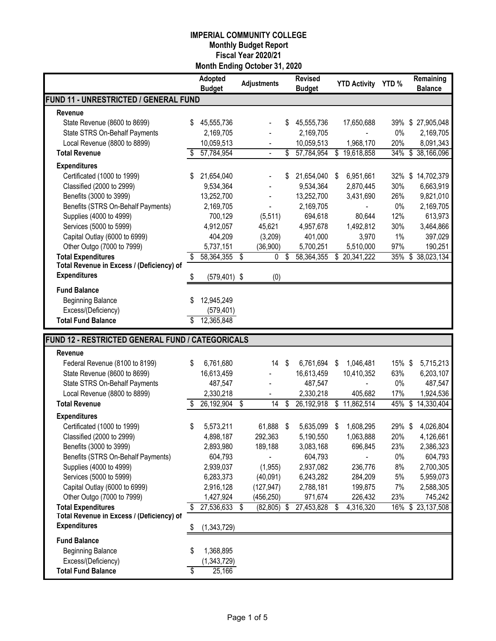|                                                  |    | Adopted<br><b>Budget</b> |                          | <b>Adjustments</b> |     | <b>Revised</b><br><b>Budget</b> | <b>YTD Activity</b> |              | YTD%   | Remaining<br><b>Balance</b> |
|--------------------------------------------------|----|--------------------------|--------------------------|--------------------|-----|---------------------------------|---------------------|--------------|--------|-----------------------------|
| FUND 11 - UNRESTRICTED / GENERAL FUND            |    |                          |                          |                    |     |                                 |                     |              |        |                             |
| Revenue                                          |    |                          |                          |                    |     |                                 |                     |              |        |                             |
| State Revenue (8600 to 8699)                     | S  | 45,555,736               |                          |                    | \$  | 45,555,736                      |                     | 17,650,688   | 39%    | \$27,905,048                |
| State STRS On-Behalf Payments                    |    | 2,169,705                |                          |                    |     | 2,169,705                       |                     |              | 0%     | 2,169,705                   |
| Local Revenue (8800 to 8899)                     |    | 10,059,513               |                          |                    |     | 10,059,513                      |                     | 1,968,170    | 20%    | 8,091,343                   |
| <b>Total Revenue</b>                             |    | 57,784,954               |                          |                    | \$  | 57,784,954                      |                     | \$19,618,858 | 34%    | \$38,166,096                |
| <b>Expenditures</b>                              |    |                          |                          |                    |     |                                 |                     |              |        |                             |
| Certificated (1000 to 1999)                      |    | 21,654,040               |                          |                    | \$  | 21,654,040                      | \$                  | 6,951,661    | 32%    | \$<br>14,702,379            |
| Classified (2000 to 2999)                        |    | 9,534,364                |                          |                    |     | 9,534,364                       |                     | 2,870,445    | 30%    | 6,663,919                   |
| Benefits (3000 to 3999)                          |    | 13,252,700               |                          |                    |     | 13,252,700                      |                     | 3,431,690    | 26%    | 9,821,010                   |
| Benefits (STRS On-Behalf Payments)               |    | 2,169,705                |                          |                    |     | 2,169,705                       |                     |              | $0\%$  | 2,169,705                   |
| Supplies (4000 to 4999)                          |    | 700,129                  |                          | (5, 511)           |     | 694,618                         |                     | 80,644       | 12%    | 613,973                     |
| Services (5000 to 5999)                          |    | 4,912,057                |                          | 45,621             |     | 4,957,678                       |                     | 1,492,812    | 30%    | 3,464,866                   |
| Capital Outlay (6000 to 6999)                    |    | 404,209                  |                          | (3,209)            |     | 401,000                         |                     | 3,970        | $1\%$  | 397,029                     |
| Other Outgo (7000 to 7999)                       |    | 5,737,151                |                          | (36,900)           |     | 5,700,251                       |                     | 5,510,000    | 97%    | 190,251                     |
| <b>Total Expenditures</b>                        |    | 58,364,355               | \$                       | 0                  | \$  | 58,364,355                      | \$                  | 20,341,222   | 35%    | \$<br>38,023,134            |
| Total Revenue in Excess / (Deficiency) of        |    |                          |                          |                    |     |                                 |                     |              |        |                             |
| <b>Expenditures</b>                              |    | $(579, 401)$ \$          |                          | (0)                |     |                                 |                     |              |        |                             |
| <b>Fund Balance</b>                              |    |                          |                          |                    |     |                                 |                     |              |        |                             |
| <b>Beginning Balance</b>                         |    | 12,945,249               |                          |                    |     |                                 |                     |              |        |                             |
| Excess/(Deficiency)                              |    | (579, 401)               |                          |                    |     |                                 |                     |              |        |                             |
| <b>Total Fund Balance</b>                        |    | 12,365,848               |                          |                    |     |                                 |                     |              |        |                             |
|                                                  |    |                          |                          |                    |     |                                 |                     |              |        |                             |
| FUND 12 - RESTRICTED GENERAL FUND / CATEGORICALS |    |                          |                          |                    |     |                                 |                     |              |        |                             |
| Revenue                                          |    |                          |                          |                    |     |                                 |                     |              |        |                             |
| Federal Revenue (8100 to 8199)                   | S  | 6,761,680                |                          | 14                 | -\$ | 6,761,694                       | \$                  | 1,046,481    | 15% \$ | 5,715,213                   |
| State Revenue (8600 to 8699)                     |    | 16,613,459               |                          |                    |     | 16,613,459                      |                     | 10,410,352   | 63%    | 6,203,107                   |
| State STRS On-Behalf Payments                    |    | 487,547                  |                          |                    |     | 487,547                         |                     |              | 0%     | 487,547                     |
| Local Revenue (8800 to 8899)                     |    | 2,330,218                |                          |                    |     | 2,330,218                       |                     | 405,682      | 17%    | 1,924,536                   |
| <b>Total Revenue</b>                             |    | 26,192,904 \$            |                          | 14                 | \$  | 26,192,918                      |                     | \$11,862,514 |        | 45% \$14,330,404            |
| <b>Expenditures</b>                              |    |                          |                          |                    |     |                                 |                     |              |        |                             |
| Certificated (1000 to 1999)                      | \$ | 5,573,211                |                          | 61,888             | \$  | 5,635,099                       | \$                  | 1,608,295    | 29%\$  | 4,026,804                   |
| Classified (2000 to 2999)                        |    | 4,898,187                |                          | 292,363            |     | 5,190,550                       |                     | 1,063,888    | 20%    | 4,126,661                   |
| Benefits (3000 to 3999)                          |    | 2,893,980                |                          | 189,188            |     | 3,083,168                       |                     | 696,845      | 23%    | 2,386,323                   |
| Benefits (STRS On-Behalf Payments)               |    | 604,793                  |                          |                    |     | 604,793                         |                     |              | $0\%$  | 604,793                     |
| Supplies (4000 to 4999)                          |    | 2,939,037                |                          | (1, 955)           |     | 2,937,082                       |                     | 236,776      | 8%     | 2,700,305                   |
| Services (5000 to 5999)                          |    | 6,283,373                |                          | (40,091)           |     | 6,243,282                       |                     | 284,209      | $5\%$  | 5,959,073                   |
| Capital Outlay (6000 to 6999)                    |    | 2,916,128                |                          | (127, 947)         |     | 2,788,181                       |                     | 199,875      | 7%     | 2,588,305                   |
| Other Outgo (7000 to 7999)                       |    | 1,427,924                |                          | (456, 250)         |     | 971,674                         |                     | 226,432      | 23%    | 745,242                     |
| <b>Total Expenditures</b>                        |    | 27,536,633               | $\overline{\mathcal{S}}$ | (82, 805)          | \$  | 27,453,828                      | \$                  | 4,316,320    | 16%    | \$23,137,508                |
| Total Revenue in Excess / (Deficiency) of        |    |                          |                          |                    |     |                                 |                     |              |        |                             |
| <b>Expenditures</b>                              | \$ | (1,343,729)              |                          |                    |     |                                 |                     |              |        |                             |
| <b>Fund Balance</b>                              |    |                          |                          |                    |     |                                 |                     |              |        |                             |
|                                                  | \$ | 1,368,895                |                          |                    |     |                                 |                     |              |        |                             |
| <b>Beginning Balance</b>                         |    |                          |                          |                    |     |                                 |                     |              |        |                             |
| Excess/(Deficiency)                              |    | (1,343,729)              |                          |                    |     |                                 |                     |              |        |                             |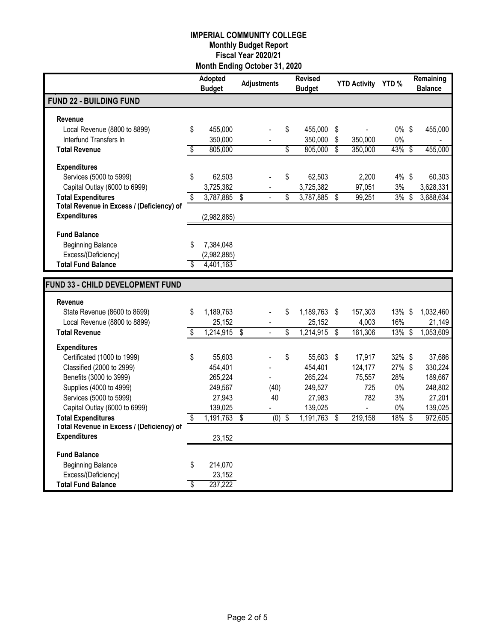|                                                                        | <b>Adopted</b><br><b>Budget</b> |                         | <b>Adjustments</b> | <b>Revised</b><br><b>Budget</b> | YTD Activity YTD %       |                          |           |    | Remaining<br><b>Balance</b> |  |
|------------------------------------------------------------------------|---------------------------------|-------------------------|--------------------|---------------------------------|--------------------------|--------------------------|-----------|----|-----------------------------|--|
| <b>FUND 22 - BUILDING FUND</b>                                         |                                 |                         |                    |                                 |                          |                          |           |    |                             |  |
| Revenue                                                                |                                 |                         |                    |                                 |                          |                          |           |    |                             |  |
| Local Revenue (8800 to 8899)                                           | \$<br>455,000                   |                         |                    | \$<br>455,000                   | \$                       |                          | $0\%$ \$  |    | 455,000                     |  |
| Interfund Transfers In                                                 | 350,000                         |                         |                    | 350,000                         | \$                       | 350,000                  | 0%        |    |                             |  |
| <b>Total Revenue</b>                                                   | \$<br>805,000                   |                         |                    | \$<br>805,000                   | $\overline{\mathcal{S}}$ | 350,000                  | 43% \$    |    | 455,000                     |  |
| <b>Expenditures</b>                                                    |                                 |                         |                    |                                 |                          |                          |           |    |                             |  |
| Services (5000 to 5999)                                                | \$<br>62,503                    |                         |                    | \$<br>62,503                    |                          | 2,200                    | 4% \$     |    | 60,303                      |  |
| Capital Outlay (6000 to 6999)                                          | 3,725,382                       |                         |                    | 3,725,382                       |                          | 97,051                   | 3%        |    | 3,628,331                   |  |
| <b>Total Expenditures</b>                                              | \$<br>3,787,885                 | $\overline{\mathbf{s}}$ |                    | \$<br>3,787,885                 | \$                       | 99,251                   | 3%        | \$ | 3,688,634                   |  |
| Total Revenue in Excess / (Deficiency) of                              |                                 |                         |                    |                                 |                          |                          |           |    |                             |  |
| <b>Expenditures</b>                                                    | (2,982,885)                     |                         |                    |                                 |                          |                          |           |    |                             |  |
| <b>Fund Balance</b>                                                    |                                 |                         |                    |                                 |                          |                          |           |    |                             |  |
| <b>Beginning Balance</b>                                               | \$<br>7,384,048                 |                         |                    |                                 |                          |                          |           |    |                             |  |
| Excess/(Deficiency)                                                    | (2,982,885)                     |                         |                    |                                 |                          |                          |           |    |                             |  |
| <b>Total Fund Balance</b>                                              | 4,401,163                       |                         |                    |                                 |                          |                          |           |    |                             |  |
|                                                                        |                                 |                         |                    |                                 |                          |                          |           |    |                             |  |
| FUND 33 - CHILD DEVELOPMENT FUND                                       |                                 |                         |                    |                                 |                          |                          |           |    |                             |  |
| Revenue                                                                |                                 |                         |                    |                                 |                          |                          |           |    |                             |  |
| State Revenue (8600 to 8699)                                           | \$<br>1,189,763                 |                         |                    | \$<br>1,189,763                 | $\sqrt[6]{\frac{1}{2}}$  | 157,303                  | 13%       | S  | 1,032,460                   |  |
| Local Revenue (8800 to 8899)                                           | 25,152                          |                         |                    | 25,152                          |                          | 4,003                    | 16%       |    | 21,149                      |  |
| <b>Total Revenue</b>                                                   | $1,214,915$ \$                  |                         | $\blacksquare$     | \$<br>1,214,915                 | \$                       | 161,306                  | $13\%$ \$ |    | 1,053,609                   |  |
| <b>Expenditures</b>                                                    |                                 |                         |                    |                                 |                          |                          |           |    |                             |  |
| Certificated (1000 to 1999)                                            | \$<br>55,603                    |                         |                    | \$<br>55,603 \$                 |                          | 17,917                   | 32%\$     |    | 37,686                      |  |
| Classified (2000 to 2999)                                              | 454,401                         |                         |                    | 454,401                         |                          | 124,177                  | 27% \$    |    | 330,224                     |  |
| Benefits (3000 to 3999)                                                | 265,224                         |                         |                    | 265,224                         |                          | 75,557                   | 28%       |    | 189,667                     |  |
| Supplies (4000 to 4999)                                                | 249,567                         |                         | (40)               | 249,527                         |                          | 725                      | $0\%$     |    | 248,802                     |  |
| Services (5000 to 5999)                                                | 27,943                          |                         | 40                 | 27,983                          |                          | 782                      | 3%        |    | 27,201                      |  |
| Capital Outlay (6000 to 6999)                                          | 139,025                         |                         |                    | 139,025                         |                          | $\overline{\phantom{a}}$ | $0\%$     |    | 139,025                     |  |
| <b>Total Expenditures</b><br>Total Revenue in Excess / (Deficiency) of | \$<br>$1,191,763$ \$            |                         | (0)                | \$<br>1,191,763                 | \$                       | 219,158                  | $18\%$ \$ |    | 972,605                     |  |
| <b>Expenditures</b>                                                    | 23,152                          |                         |                    |                                 |                          |                          |           |    |                             |  |
|                                                                        |                                 |                         |                    |                                 |                          |                          |           |    |                             |  |
| <b>Fund Balance</b>                                                    |                                 |                         |                    |                                 |                          |                          |           |    |                             |  |
| <b>Beginning Balance</b>                                               | \$<br>214,070                   |                         |                    |                                 |                          |                          |           |    |                             |  |
| Excess/(Deficiency)                                                    | 23,152                          |                         |                    |                                 |                          |                          |           |    |                             |  |
| <b>Total Fund Balance</b>                                              | \$<br>237,222                   |                         |                    |                                 |                          |                          |           |    |                             |  |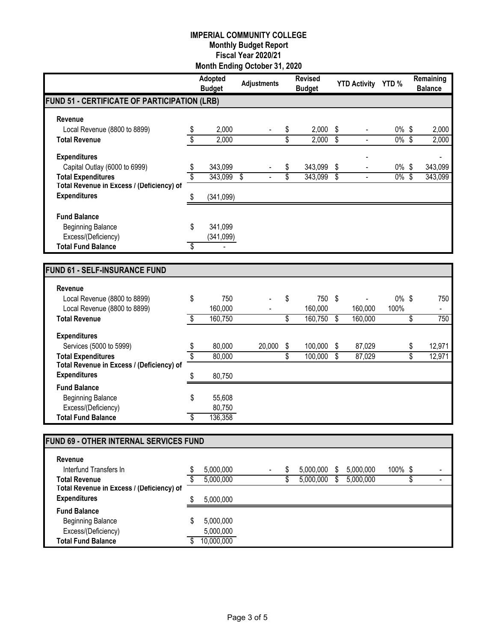|                                              |               | <b>Adopted</b><br><b>Budget</b> | <b>Adjustments</b> | <b>Revised</b><br><b>Budget</b> |                         | YTD Activity YTD %       |          |                         | Remaining<br><b>Balance</b> |
|----------------------------------------------|---------------|---------------------------------|--------------------|---------------------------------|-------------------------|--------------------------|----------|-------------------------|-----------------------------|
| FUND 51 - CERTIFICATE OF PARTICIPATION (LRB) |               |                                 |                    |                                 |                         |                          |          |                         |                             |
| Revenue                                      |               |                                 |                    |                                 |                         |                          |          |                         |                             |
| Local Revenue (8800 to 8899)                 |               | 2,000                           |                    | \$<br>2,000                     | \$                      | $\overline{a}$           | $0\%$    | \$                      | 2,000                       |
| <b>Total Revenue</b>                         | $\frac{1}{3}$ | 2,000                           |                    | \$<br>2,000                     | \$                      | $\overline{\phantom{a}}$ | $0\%$    | $\overline{\$}$         | 2,000                       |
| <b>Expenditures</b>                          |               |                                 |                    |                                 |                         |                          |          |                         |                             |
| Capital Outlay (6000 to 6999)                | \$            | 343,099                         |                    | \$<br>343,099                   | \$                      |                          | $0\%$ \$ |                         | 343,099                     |
| <b>Total Expenditures</b>                    | \$            | 343,099                         | \$                 | \$<br>343,099                   | $\overline{\mathbf{S}}$ |                          | $0\%$    | $\overline{\mathbf{s}}$ | 343,099                     |
| Total Revenue in Excess / (Deficiency) of    |               |                                 |                    |                                 |                         |                          |          |                         |                             |
| <b>Expenditures</b>                          | \$            | (341,099)                       |                    |                                 |                         |                          |          |                         |                             |
| <b>Fund Balance</b>                          |               |                                 |                    |                                 |                         |                          |          |                         |                             |
| <b>Beginning Balance</b>                     | \$            | 341,099                         |                    |                                 |                         |                          |          |                         |                             |
| Excess/(Deficiency)                          |               | (341,099)                       |                    |                                 |                         |                          |          |                         |                             |
| <b>Total Fund Balance</b>                    | \$            |                                 |                    |                                 |                         |                          |          |                         |                             |
|                                              |               |                                 |                    |                                 |                         |                          |          |                         |                             |
| <b>FUND 61 - SELF-INSURANCE FUND</b>         |               |                                 |                    |                                 |                         |                          |          |                         |                             |
| Revenue                                      |               |                                 |                    |                                 |                         |                          |          |                         |                             |
| Local Revenue (8800 to 8899)                 | \$            | 750                             |                    | \$<br>750                       | \$                      | ä,                       | $0\%$ \$ |                         | 750                         |
| Local Revenue (8800 to 8899)                 |               | 160,000                         |                    | 160,000                         |                         | 160,000                  | 100%     |                         |                             |
| <b>Total Revenue</b>                         | \$            | 160,750                         |                    | \$<br>160,750                   | S                       | 160,000                  |          | \$                      | 750                         |
| <b>Expenditures</b>                          |               |                                 |                    |                                 |                         |                          |          |                         |                             |
| Services (5000 to 5999)                      | \$            | 80,000                          | 20,000             | \$<br>100,000                   | \$                      | 87,029                   |          | \$                      | 12,971                      |
| <b>Total Expenditures</b>                    | \$            | 80,000                          |                    | \$<br>100,000                   | \$                      | 87,029                   |          | \$                      | 12,971                      |
| Total Revenue in Excess / (Deficiency) of    |               |                                 |                    |                                 |                         |                          |          |                         |                             |
| <b>Expenditures</b>                          | \$            | 80,750                          |                    |                                 |                         |                          |          |                         |                             |
| <b>Fund Balance</b>                          |               |                                 |                    |                                 |                         |                          |          |                         |                             |
| <b>Beginning Balance</b>                     | \$            | 55,608                          |                    |                                 |                         |                          |          |                         |                             |
| Excess/(Deficiency)                          |               | 80,750                          |                    |                                 |                         |                          |          |                         |                             |
| <b>Total Fund Balance</b>                    | \$            | 136,358                         |                    |                                 |                         |                          |          |                         |                             |
|                                              |               |                                 |                    |                                 |                         |                          |          |                         |                             |
| FUND 69 - OTHER INTERNAL SERVICES FUND       |               |                                 |                    |                                 |                         |                          |          |                         |                             |
| Revenue                                      |               |                                 |                    |                                 |                         |                          |          |                         |                             |
| Interfund Transfers In                       | \$            | 5,000,000                       |                    | \$<br>5,000,000                 | \$                      | 5,000,000                | 100% \$  |                         |                             |
| <b>Total Revenue</b>                         | \$            | 5,000,000                       |                    | \$<br>5,000,000                 | \$                      | 5,000,000                |          | \$                      | $\blacksquare$              |
| Total Revenue in Excess / (Deficiency) of    |               |                                 |                    |                                 |                         |                          |          |                         |                             |
| <b>Expenditures</b>                          | \$            | 5,000,000                       |                    |                                 |                         |                          |          |                         |                             |
| <b>Fund Balance</b>                          |               |                                 |                    |                                 |                         |                          |          |                         |                             |
| <b>Beginning Balance</b>                     | \$            | 5,000,000                       |                    |                                 |                         |                          |          |                         |                             |
| Excess/(Deficiency)                          |               | 5,000,000                       |                    |                                 |                         |                          |          |                         |                             |

**Total Fund Balance** \$ 10,000,000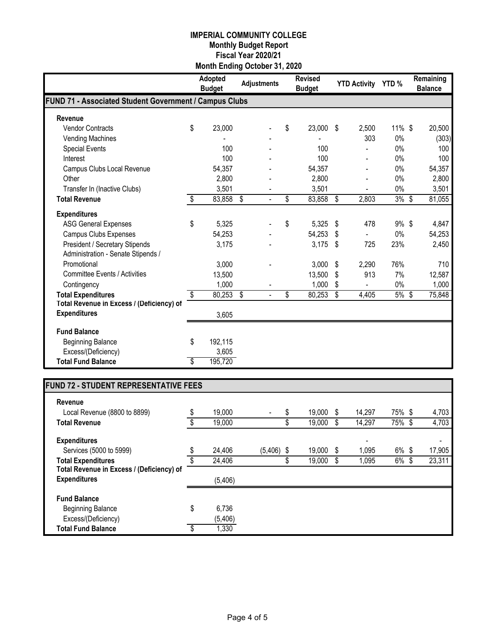|                                                        | Adopted<br><b>Budget</b> | <b>Adjustments</b> | <b>Revised</b><br><b>Budget</b> | <b>YTD Activity</b> | YTD <sub>%</sub> | Remaining<br><b>Balance</b> |
|--------------------------------------------------------|--------------------------|--------------------|---------------------------------|---------------------|------------------|-----------------------------|
| FUND 71 - Associated Student Government / Campus Clubs |                          |                    |                                 |                     |                  |                             |
| Revenue                                                |                          |                    |                                 |                     |                  |                             |
| <b>Vendor Contracts</b>                                | \$<br>23,000             |                    | \$<br>23,000                    | \$<br>2,500         | 11% \$           | 20,500                      |
| <b>Vending Machines</b>                                |                          |                    |                                 | 303                 | 0%               | (303)                       |
| <b>Special Events</b>                                  | 100                      |                    | 100                             |                     | 0%               | 100                         |
| Interest                                               | 100                      |                    | 100                             |                     | 0%               | 100                         |
| Campus Clubs Local Revenue                             | 54,357                   |                    | 54,357                          |                     | 0%               | 54,357                      |
| Other                                                  | 2,800                    |                    | 2,800                           |                     | $0\%$            | 2,800                       |
| Transfer In (Inactive Clubs)                           | 3,501                    |                    | 3,501                           |                     | 0%               | 3,501                       |
| <b>Total Revenue</b>                                   | \$<br>83,858             | S,                 | \$<br>83,858                    | \$<br>2,803         | 3%               | \$<br>81,055                |
| <b>Expenditures</b>                                    |                          |                    |                                 |                     |                  |                             |
| <b>ASG General Expenses</b>                            | \$<br>5,325              |                    | \$<br>5,325                     | \$<br>478           | 9%\$             | 4,847                       |
| <b>Campus Clubs Expenses</b>                           | 54,253                   |                    | 54,253                          | \$<br>ä,            | 0%               | 54,253                      |
| President / Secretary Stipends                         | 3,175                    |                    | 3,175                           | \$<br>725           | 23%              | 2,450                       |
| Administration - Senate Stipends /                     |                          |                    |                                 |                     |                  |                             |
| Promotional                                            | 3,000                    |                    | 3,000                           | \$<br>2,290         | 76%              | 710                         |
| <b>Committee Events / Activities</b>                   | 13,500                   |                    | 13,500                          | \$<br>913           | 7%               | 12,587                      |
| Contingency                                            | 1,000                    |                    | 1,000                           | \$<br>÷.            | $0\%$            | 1,000                       |
| <b>Total Expenditures</b>                              | \$<br>80,253             | \$                 | \$<br>80,253                    | \$<br>4,405         | 5%               | \$<br>75,848                |
| Total Revenue in Excess / (Deficiency) of              |                          |                    |                                 |                     |                  |                             |
| <b>Expenditures</b>                                    | 3,605                    |                    |                                 |                     |                  |                             |
| <b>Fund Balance</b>                                    |                          |                    |                                 |                     |                  |                             |
| <b>Beginning Balance</b>                               | \$<br>192,115            |                    |                                 |                     |                  |                             |
| Excess/(Deficiency)                                    | 3,605                    |                    |                                 |                     |                  |                             |
| <b>Total Fund Balance</b>                              | \$<br>195,720            |                    |                                 |                     |                  |                             |

# **FUND 72 - STUDENT REPRESENTATIVE FEES**

| Revenue                                   |              |          |    |        |   |                          |            |        |
|-------------------------------------------|--------------|----------|----|--------|---|--------------------------|------------|--------|
| Local Revenue (8800 to 8899)              | \$<br>19,000 |          | S  | 19,000 | S | 14.297                   | 75% \$     | 4,703  |
| <b>Total Revenue</b>                      | \$<br>19,000 |          | \$ | 19,000 | S | 14,297                   | 75% \$     | 4,703  |
| <b>Expenditures</b>                       |              |          |    |        |   | $\overline{\phantom{0}}$ |            | ٠      |
| Services (5000 to 5999)                   | \$<br>24,406 | (5, 406) | S  | 19,000 | S | 1,095                    | 6% \$      | 17,905 |
| <b>Total Expenditures</b>                 | \$<br>24,406 |          | Φ  | 19,000 | S | 1,095                    | $6\%$<br>S | 23,311 |
| Total Revenue in Excess / (Deficiency) of |              |          |    |        |   |                          |            |        |
| <b>Expenditures</b>                       | (5,406)      |          |    |        |   |                          |            |        |
| <b>Fund Balance</b>                       |              |          |    |        |   |                          |            |        |
| <b>Beginning Balance</b>                  | \$<br>6.736  |          |    |        |   |                          |            |        |
| Excess/(Deficiency)                       | (5, 406)     |          |    |        |   |                          |            |        |
| <b>Total Fund Balance</b>                 | \$<br>1,330  |          |    |        |   |                          |            |        |